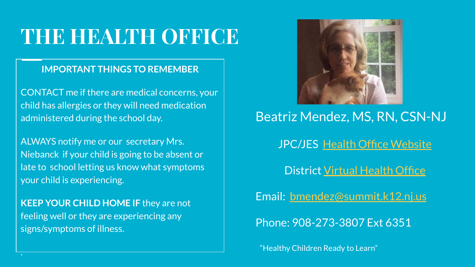### **THE HEALTH OFFICE**

### **IMPORTANT THINGS TO REMEMBER**

CONTACT me if there are medical concerns, your child has allergies or they will need medication administered during the school day.

ALWAYS notify me or our secretary Mrs. Niebanck if your child is going to be absent or late to school letting us know what symptoms your child is experiencing.

**KEEP YOUR CHILD HOME IF** they are not feeling well or they are experiencing any signs/symptoms of illness.

.



Beatriz Mendez, MS, RN, CSN-NJ JPC/JES [Health Office Website](https://sites.google.com/a/summit.k12.nj.us/jefferson-nurse-s-corner/) District [Virtual Health Office](https://sites.google.com/summit.k12.nj.us/virtualhealthoffice/home) Email: [bmendez@summit.k12.nj.us](mailto:bmendez@summit.k12.nj.us) Phone: 908-273-3807 Ext 6351

"Healthy Children Ready to Learn"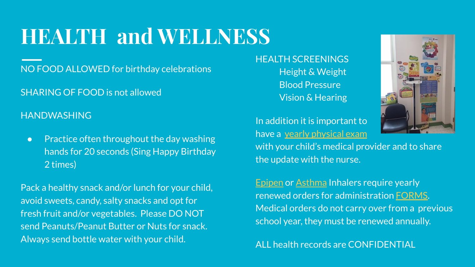# **HEALTH and WELLNESS**

NO FOOD ALLOWED for birthday celebrations

SHARING OF FOOD is not allowed

### HANDWASHING

● Practice often throughout the day washing hands for 20 seconds (Sing Happy Birthday 2 times)

Pack a healthy snack and/or lunch for your child, avoid sweets, candy, salty snacks and opt for fresh fruit and/or vegetables. Please DO NOT send Peanuts/Peanut Butter or Nuts for snack. Always send bottle water with your child.

HEALTH SCREENINGS Height & Weight Blood Pressure Vision & Hearing



In addition it is important to have a [yearly physical exam](https://www.state.nj.us/health/forms/ch-14.pdf) with your child's medical provider and to share the update with the nurse.

[Epipen](https://www.summit.k12.nj.us/uploaded/District_Forms/Health_Forms/epipenform2014.pdf) or [Asthma](https://www.summit.k12.nj.us/uploaded/District_Forms/Health_Forms/epipenform2014.pdf) Inhalers require yearly renewed orders for administration [FORMS](https://www.summit.k12.nj.us/departments/health-services/medical-forms). Medical orders do not carry over from a previous school year, they must be renewed annually.

ALL health records are CONFIDENTIAL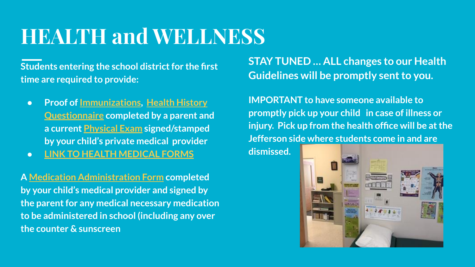## **HEALTH and WELLNESS**

**Students entering the school district for the first time are required to provide:**

- **● Proof of [Immunizations,](https://www.nj.gov/health/cd/documents/imm_requirements/k12_parents.pdf) [Health History](https://www.summit.k12.nj.us/uploaded/District_Forms/Health_Forms/HealthQuestionEng.pdf) [Questionnaire](https://www.summit.k12.nj.us/uploaded/District_Forms/Health_Forms/HealthQuestionEng.pdf) completed by a parent and a current [Physical Exam](https://www.summit.k12.nj.us/uploaded/District_Forms/Health_Forms/prek5physicalforms.pdf) signed/stamped by your child's private medical provider**
- **● [LINK TO HEALTH MEDICAL FORMS](https://www.summit.k12.nj.us/departments/health-services/medical-forms)**

**A [Medication Administration Form](https://www.summit.k12.nj.us/uploaded/District_Forms/Health_Forms/MedicationAdministration14.pdf) completed by your child's medical provider and signed by the parent for any medical necessary medication to be administered in school (including any over the counter & sunscreen** 

**STAY TUNED … ALL changes to our Health Guidelines will be promptly sent to you.**

**IMPORTANT to have someone available to promptly pick up your child in case of illness or injury. Pick up from the health office will be at the Jefferson side where students come in and are** 

**dismissed.**

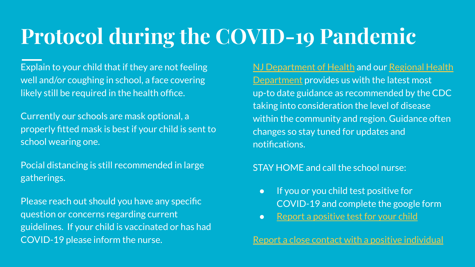# **Protocol during the COVID-19 Pandemic**

Explain to your child that if they are not feeling well and/or coughing in school, a face covering likely still be required in the health office.

Currently our schools are mask optional, a properly fitted mask is best if your child is sent to school wearing one.

Pocial distancing is still recommended in large gatherings.

Please reach out should you have any specific question or concerns regarding current guidelines. If your child is vaccinated or has had COVID-19 please inform the nurse.

[NJ Department of Health](https://covid19.nj.gov/) and our [Regional Health](https://www.westfieldnj.gov/health) [Department](https://www.westfieldnj.gov/health) provides us with the latest most up-to date guidance as recommended by the CDC taking into consideration the level of disease within the community and region. Guidance often changes so stay tuned for updates and notifications.

#### STAY HOME and call the school nurse:

- If you or you child test positive for COVID-19 and complete the google form
- [Report a positive test for your child](https://docs.google.com/forms/d/e/1FAIpQLSefv_Sflor7ycF4bLjmN17g9sQmUeOA3y5CYHt9XOr5AFWM8Q/viewform)

[Report a close contact with a positive individual](https://docs.google.com/forms/d/e/1FAIpQLSdCjc7cPL92OIErix3VExMoG3pWcPu-5uJ8DWnUEYL3GMmBfw/viewform)